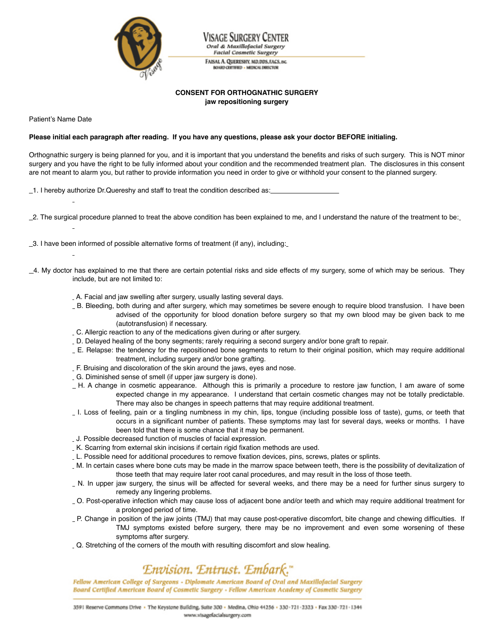

age Surgery Center Oral & Maxillofacial Surgery **Facial Cosmetic Surgery** 

FAISAL A. QUERESHY, MD, DDS, FACS, INC. **BOARD CERTIFIED - MEDICAL DIRECTOR** 

## **CONSENT FOR ORTHOGNATHIC SURGERY jaw repositioning surgery**

Patient's Name Date

### Please initial each paragraph after reading. If you have any questions, please ask your doctor BEFORE initialing.

Orthognathic surgery is being planned for you, and it is important that you understand the benefits and risks of such surgery. This is NOT minor surgery and you have the right to be fully informed about your condition and the recommended treatment plan. The disclosures in this consent are not meant to alarm you, but rather to provide information you need in order to give or withhold your consent to the planned surgery.

1. I hereby authorize Dr.Quereshy and staff to treat the condition described as:\_\_\_\_\_\_\_\_\_\_\_\_\_\_\_\_\_\_

2. The surgical procedure planned to treat the above condition has been explained to me, and I understand the nature of the treatment to be:

- 3. I have been informed of possible alternative forms of treatment (if any), including:
- $\_4$ . My doctor has explained to me that there are certain potential risks and side effects of my surgery, some of which may be serious. They include, but are not limited to:
	- A. Facial and jaw swelling after surgery, usually lasting several days.
	- B. Bleeding, both during and after surgery, which may sometimes be severe enough to require blood transfusion. I have been advised of the opportunity for blood donation before surgery so that my own blood may be given back to me (autotransfusion) if necessary.
	- C. Allergic reaction to any of the medications given during or after surgery.
	- D. Delayed healing of the bony segments; rarely requiring a second surgery and/or bone graft to repair.
	- E. Relapse: the tendency for the repositioned bone segments to return to their original position, which may require additional treatment, including surgery and/or bone grafting.
	- F. Bruising and discoloration of the skin around the jaws, eyes and nose.
	- G. Diminished sense of smell (if upper jaw surgery is done).
	- H. A change in cosmetic appearance. Although this is primarily a procedure to restore jaw function, I am aware of some expected change in my appearance. I understand that certain cosmetic changes may not be totally predictable. There may also be changes in speech patterns that may require additional treatment.
	- I. Loss of feeling, pain or a tingling numbness in my chin, lips, tongue (including possible loss of taste), gums, or teeth that occurs in a significant number of patients. These symptoms may last for several days, weeks or months. I have been told that there is some chance that it may be permanent.
	- J. Possible decreased function of muscles of facial expression.
	- K. Scarring from external skin incisions if certain rigid fixation methods are used.
	- L. Possible need for additional procedures to remove fixation devices, pins, screws, plates or splints.
	- M. In certain cases where bone cuts may be made in the marrow space between teeth, there is the possibility of devitalization of those teeth that may require later root canal procedures, and may result in the loss of those teeth.
	- N. In upper jaw surgery, the sinus will be affected for several weeks, and there may be a need for further sinus surgery to remedy any lingering problems.
	- O. Post-operative infection which may cause loss of adjacent bone and/or teeth and which may require additional treatment for a prolonged period of time.
	- P. Change in position of the jaw joints (TMJ) that may cause post-operative discomfort, bite change and chewing difficulties. If TMJ symptoms existed before surgery, there may be no improvement and even some worsening of these symptoms after surgery.
	- Q. Stretching of the corners of the mouth with resulting discomfort and slow healing.

# Envision. Entrust. Embark."

Fellow American College of Surgeons - Diplomate American Board of Oral and Maxillofacial Surgery Board Certified American Board of Cosmetic Surgery - Fellow American Academy of Cosmetic Surgery